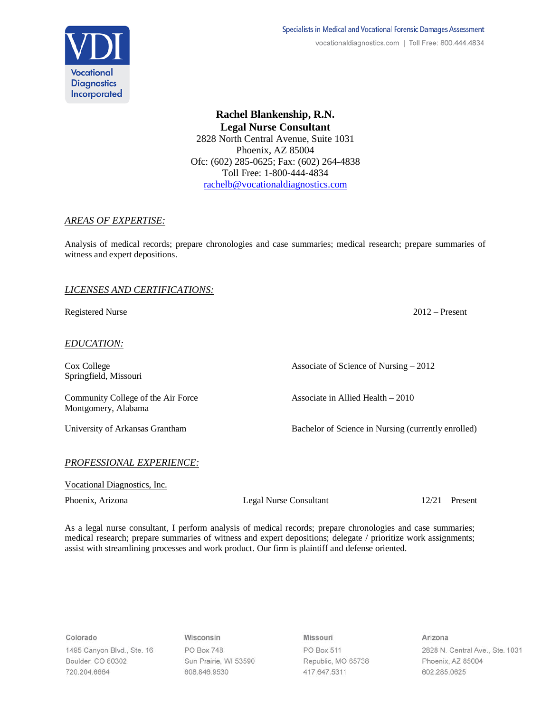

**Rachel Blankenship, R.N. Legal Nurse Consultant** 2828 North Central Avenue, Suite 1031 Phoenix, AZ 85004 Ofc: (602) 285-0625; Fax: (602) 264-4838 Toll Free: 1-800-444-4834 [rachelb@vocationaldiagnostics.com](mailto:rachelb@vocationaldiagnostics.com)

## *AREAS OF EXPERTISE:*

Analysis of medical records; prepare chronologies and case summaries; medical research; prepare summaries of witness and expert depositions.

# *LICENSES AND CERTIFICATIONS:*

Registered Nurse 2012 – Present

*EDUCATION:*

Springfield, Missouri

Cox College Associate of Science of Nursing – 2012

Community College of the Air Force Associate in Allied Health – 2010 Montgomery, Alabama

University of Arkansas Grantham Bachelor of Science in Nursing (currently enrolled)

## *PROFESSIONAL EXPERIENCE:*

Vocational Diagnostics, Inc.

Phoenix, Arizona Legal Nurse Consultant 12/21 – Present

As a legal nurse consultant, I perform analysis of medical records; prepare chronologies and case summaries; medical research; prepare summaries of witness and expert depositions; delegate / prioritize work assignments; assist with streamlining processes and work product. Our firm is plaintiff and defense oriented.

Colorado

1495 Canyon Blvd., Ste. 16 Boulder, CO 80302 720.204.6664

Wisconsin PO Box 748 Sun Prairie, WI 53590 608.846.9530

Missouri PO Box 511 Republic, MO 65738 417.647.5311

Arizona 2828 N. Central Ave., Ste. 1031 Phoenix, AZ 85004 602.285.0625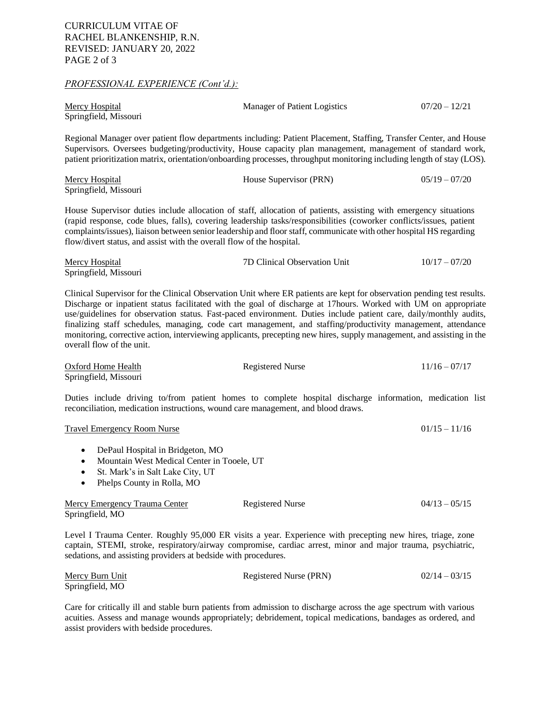#### *PROFESSIONAL EXPERIENCE (Cont'd.):*

| Mercy Hospital        | Manager of Patient Logistics | $07/20 - 12/21$ |
|-----------------------|------------------------------|-----------------|
| Springfield, Missouri |                              |                 |

Regional Manager over patient flow departments including: Patient Placement, Staffing, Transfer Center, and House Supervisors. Oversees budgeting/productivity, House capacity plan management, management of standard work, patient prioritization matrix, orientation/onboarding processes, throughput monitoring including length of stay (LOS).

| <b>Mercy Hospital</b> | House Supervisor (PRN) | $05/19 - 07/20$ |
|-----------------------|------------------------|-----------------|
| Springfield, Missouri |                        |                 |

House Supervisor duties include allocation of staff, allocation of patients, assisting with emergency situations (rapid response, code blues, falls), covering leadership tasks/responsibilities (coworker conflicts/issues, patient complaints/issues), liaison between senior leadership and floor staff, communicate with other hospital HS regarding flow/divert status, and assist with the overall flow of the hospital.

| Mercy Hospital        | 7D Clinical Observation Unit | $10/17 - 07/20$ |
|-----------------------|------------------------------|-----------------|
| Springfield, Missouri |                              |                 |

Clinical Supervisor for the Clinical Observation Unit where ER patients are kept for observation pending test results. Discharge or inpatient status facilitated with the goal of discharge at 17hours. Worked with UM on appropriate use/guidelines for observation status. Fast-paced environment. Duties include patient care, daily/monthly audits, finalizing staff schedules, managing, code cart management, and staffing/productivity management, attendance monitoring, corrective action, interviewing applicants, precepting new hires, supply management, and assisting in the overall flow of the unit.

| Oxford Home Health    | Registered Nurse | $11/16 - 07/17$ |
|-----------------------|------------------|-----------------|
| Springfield, Missouri |                  |                 |

Duties include driving to/from patient homes to complete hospital discharge information, medication list reconciliation, medication instructions, wound care management, and blood draws.

| <b>Travel Emergency Room Nurse</b> | $01/15 - 11/16$ |
|------------------------------------|-----------------|
|                                    |                 |

- DePaul Hospital in Bridgeton, MO
- Mountain West Medical Center in Tooele, UT
- St. Mark's in Salt Lake City, UT
- Phelps County in Rolla, MO

| Mercy Emergency Trauma Center | Registered Nurse | $04/13 - 05/15$ |
|-------------------------------|------------------|-----------------|
| Springfield, MO               |                  |                 |

Level I Trauma Center. Roughly 95,000 ER visits a year. Experience with precepting new hires, triage, zone captain, STEMI, stroke, respiratory/airway compromise, cardiac arrest, minor and major trauma, psychiatric, sedations, and assisting providers at bedside with procedures.

| Mercy Burn Unit | Registered Nurse (PRN) | $02/14 - 03/15$ |
|-----------------|------------------------|-----------------|
| Springfield, MO |                        |                 |

Care for critically ill and stable burn patients from admission to discharge across the age spectrum with various acuities. Assess and manage wounds appropriately; debridement, topical medications, bandages as ordered, and assist providers with bedside procedures.